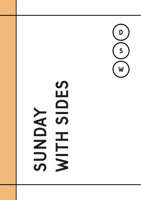

# **SIDES** NDAY NTH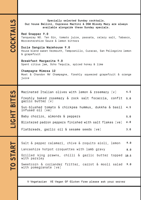## **COCKTAILS** Cocktails

Specially selected Sunday cocktails. Our house Bellini, Espresso Martini & DSW Bloody Mary are always available alongside these Sunday specials.

Red Snapper 9.0 Tanqueray NO. Ten Gin, tomato juice, passata, celery salt, Tabasco, Worcestershire Sauce & lemon bitters

Ducie Sangria Warehouse 9.0 House blend sweet Vermouth, Tempranillo, Curacao, San Pellegrino lemon & grapefruit

Breakfast Margarita 9.0 Spent citrus jam, Ocho Tequila, spiced honey & lime

Champagne Mimosa 12 Moet & Chandon NV Champagne, freshly squeezed grapefruit & orange juice

LIGHT BITES Light bites

Marinated Italian olives with lemon & rosemary [v] Freshly baked rosemary & rock salt focaccia, confit garlic butter (v) Sun-blushed tomato & chickpea hummus, dukkha & basil infused oil (ve) Baby chorizo, almonds & peppers Blistered padron peppers finished with salt flakes [ve] Flatbreads, garlic oil & sesame seeds (ve) 4.5 5.0 4.5 5.0 6.0 3.0

**TO START** To start

Salt & pepper calamari, chive & roquito aioli, lemon Lancashire hotpot croquettes with lamb gravy Grilled king prawns, chilli & garlic butter topped 10.5 with parsley Sweetcorn & coriander fritter, carrot & mooli salad with pomegranate [ve] 9.0 8.0 9.0

V-Vegetarian VE-Vegan GF-Gluten Free please ask your server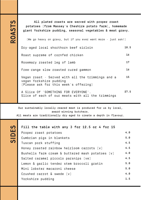ROASTS

Sides

All plated roasts are served with proper roast potatoes (from Massey's Cheshire potato farm), homemade giant Yorkshire pudding, seasonal vegetables & meat gravy. (We go heavy on gravy, but if you ever want more - just ask!) Dry-aged local shorthorn beef sirloin Roast supreme of cornfed chicken 18.5 16

Rosemary roasted leg of lamb Free-range slow roasted cured gammon Vegan roast - Served with all the trimmings and a vegan Yorkshire pudding (Please ask for this week's offering) 17 16 15 27.5

A Slice Of 'SOMETHING FOR EVERYONE'. Slice of each of our meats with all the trimmings

Our sustainably locally-reared meat is produced for us by local, award-winning butchers. All meats are traditionally dry-aged to create a depth in flavour.

#### Fill the table with any 3 for 12.5 or 4 for 15

| Proper roast potatoes                                                 | 4.0 |
|-----------------------------------------------------------------------|-----|
| Cumbrian pigs in blankets                                             | 5.0 |
| Tuscan pork stuffing                                                  | 4.5 |
| Honey roasted rainbow heirloom carrots [v]                            | 4.5 |
| Bushells farm cream $\delta$ buttered mash potatoes $\lceil v \rceil$ | 4.0 |
| Salted caramel piccolo parsnips [ve]                                  | 4.5 |
| Lemon & garlic tender stem broccoli gratin                            | 5.0 |
| Mini lobster macaroni cheese                                          | 5.0 |
| Crushed carrot $\delta$ swede $\lceil v \rceil$                       | 4.0 |
| Yorkshire pudding                                                     | 1.5 |
|                                                                       |     |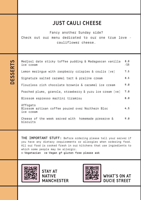### Just cauli cheese

Fancy another Sunday side?

Check out our menu dedicated to our one true love cauliflower cheese.

**DESSERTS** Desserts

Medjool date sticky toffee pudding & Madagascan vanilla ice cream Lemon meringue with raspberry crispies & coulis (ve) Signature salted caramel tart & praline cream Flourless rich chocolate brownie & caramel ice cream Poached plums, granola, strawberry & yuzu ice cream [ve] Blossom espresso martini tiramisu Affogato Blossom artisan coffee poured over Northern Bloc ice cream Cheese of the week served with homemade preserve & biscuits 8.0 /15 7.5 8.5 9.0 7.0 8.0 4.5 9.0

THE IMPORTANT STUFF: Before ordering please tell your server if you have any dietary requirements or allergies when ordering food. All our food is cooked fresh in our kitchens that use ingredients to which some people may be allergic. v-Vegetarian ve-Vegan gf-gluten free please ask



STAY AT NATIVE MANCHESTER



WHAT'S ON AT DUCIE STREET